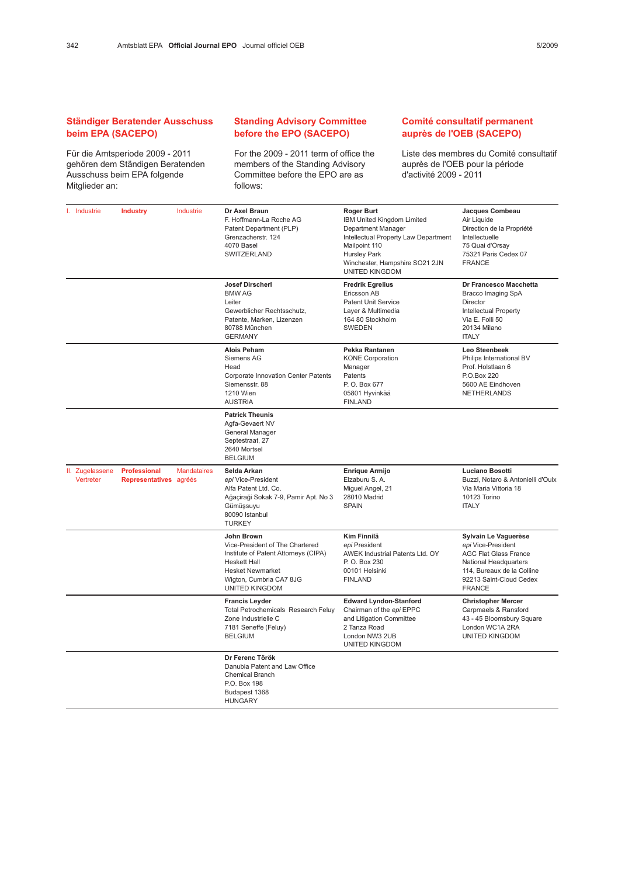## Ständiger Beratender Ausschuss beim EPA (SACEPO)

Für die Amtsperiode 2009 - 2011 gehören dem Ständigen Beratenden Ausschuss beim EPA folgende Mitglieder an:

## Standing Advisory Committee before the EPO (SACEPO)

For the 2009 - 2011 term of office the members of the Standing Advisory Committee before the EPO are as follows:

## Comité consultatif permanent auprès de l'OEB (SACEPO)

Liste des membres du Comité consultatif auprès de l'OEB pour la période d'activité 2009 - 2011

| I. Industrie                   | <b>Industry</b>                               | Industrie          | Dr Axel Braun                                                                                                                                                                        | <b>Roger Burt</b>                                                                                                                                                                           | Jacques Combeau                                                                                                                                                               |
|--------------------------------|-----------------------------------------------|--------------------|--------------------------------------------------------------------------------------------------------------------------------------------------------------------------------------|---------------------------------------------------------------------------------------------------------------------------------------------------------------------------------------------|-------------------------------------------------------------------------------------------------------------------------------------------------------------------------------|
|                                |                                               |                    | F. Hoffmann-La Roche AG<br>Patent Department (PLP)<br>Grenzacherstr. 124<br>4070 Basel<br>SWITZERLAND                                                                                | IBM United Kingdom Limited<br>Department Manager<br>Intellectual Property Law Department<br>Mailpoint 110<br><b>Hursley Park</b><br>Winchester, Hampshire SO21 2JN<br><b>UNITED KINGDOM</b> | Air Liquide<br>Direction de la Propriété<br>Intellectuelle<br>75 Quai d'Orsay<br>75321 Paris Cedex 07<br><b>FRANCE</b>                                                        |
|                                |                                               |                    | <b>Josef Dirscherl</b><br><b>BMW AG</b><br>Leiter<br>Gewerblicher Rechtsschutz,<br>Patente, Marken, Lizenzen<br>80788 München<br><b>GERMANY</b>                                      | <b>Fredrik Egrelius</b><br>Ericsson AB<br><b>Patent Unit Service</b><br>Layer & Multimedia<br>164 80 Stockholm<br><b>SWEDEN</b>                                                             | Dr Francesco Macchetta<br><b>Bracco Imaging SpA</b><br>Director<br><b>Intellectual Property</b><br>Via E. Folli 50<br>20134 Milano<br><b>ITALY</b>                            |
|                                |                                               |                    | <b>Alois Peham</b><br>Siemens AG<br>Head<br><b>Corporate Innovation Center Patents</b><br>Siemensstr, 88<br><b>1210 Wien</b><br><b>AUSTRIA</b>                                       | Pekka Rantanen<br><b>KONE Corporation</b><br>Manager<br>Patents<br>P. O. Box 677<br>05801 Hyvinkää<br><b>FINLAND</b>                                                                        | Leo Steenbeek<br>Philips International BV<br>Prof. Holstlaan 6<br>P.O.Box 220<br>5600 AE Eindhoven<br><b>NETHERLANDS</b>                                                      |
|                                |                                               |                    | <b>Patrick Theunis</b><br>Agfa-Gevaert NV<br>General Manager<br>Septestraat, 27<br>2640 Mortsel<br><b>BELGIUM</b>                                                                    |                                                                                                                                                                                             |                                                                                                                                                                               |
| Ш.<br>Zugelassene<br>Vertreter | <b>Professional</b><br>Representatives agréés | <b>Mandataires</b> | Selda Arkan<br>epi Vice-President<br>Alfa Patent Ltd. Co.<br>Ağaçiraği Sokak 7-9, Pamir Apt. No 3<br>Gümüşsuyu<br>80090 Istanbul<br><b>TURKEY</b>                                    | Enrique Armijo<br>Elzaburu S. A.<br>Miguel Angel, 21<br>28010 Madrid<br><b>SPAIN</b>                                                                                                        | Luciano Bosotti<br>Buzzi, Notaro & Antonielli d'Oulx<br>Via Maria Vittoria 18<br>10123 Torino<br><b>ITALY</b>                                                                 |
|                                |                                               |                    | John Brown<br>Vice-President of The Chartered<br>Institute of Patent Attorneys (CIPA)<br><b>Heskett Hall</b><br><b>Hesket Newmarket</b><br>Wigton, Cumbria CA7 8JG<br>UNITED KINGDOM | Kim Finnilä<br>epi President<br>AWEK Industrial Patents Ltd. OY<br>P. O. Box 230<br>00101 Helsinki<br><b>FINLAND</b>                                                                        | Sylvain Le Vaguerèse<br>epi Vice-President<br><b>AGC Flat Glass France</b><br>National Headquarters<br>114, Bureaux de la Colline<br>92213 Saint-Cloud Cedex<br><b>FRANCE</b> |
|                                |                                               |                    | <b>Francis Leyder</b><br>Total Petrochemicals Research Feluy<br>Zone Industrielle C<br>7181 Seneffe (Feluy)<br><b>BELGIUM</b>                                                        | <b>Edward Lyndon-Stanford</b><br>Chairman of the epi EPPC<br>and Litigation Committee<br>2 Tanza Road<br>London NW3 2UB<br>UNITED KINGDOM                                                   | <b>Christopher Mercer</b><br>Carpmaels & Ransford<br>43 - 45 Bloomsbury Square<br>London WC1A 2RA<br>UNITED KINGDOM                                                           |
|                                |                                               |                    | Dr Ferenc Török<br>Danubia Patent and Law Office<br><b>Chemical Branch</b><br>P.O. Box 198<br>Budapest 1368<br><b>HUNGARY</b>                                                        |                                                                                                                                                                                             |                                                                                                                                                                               |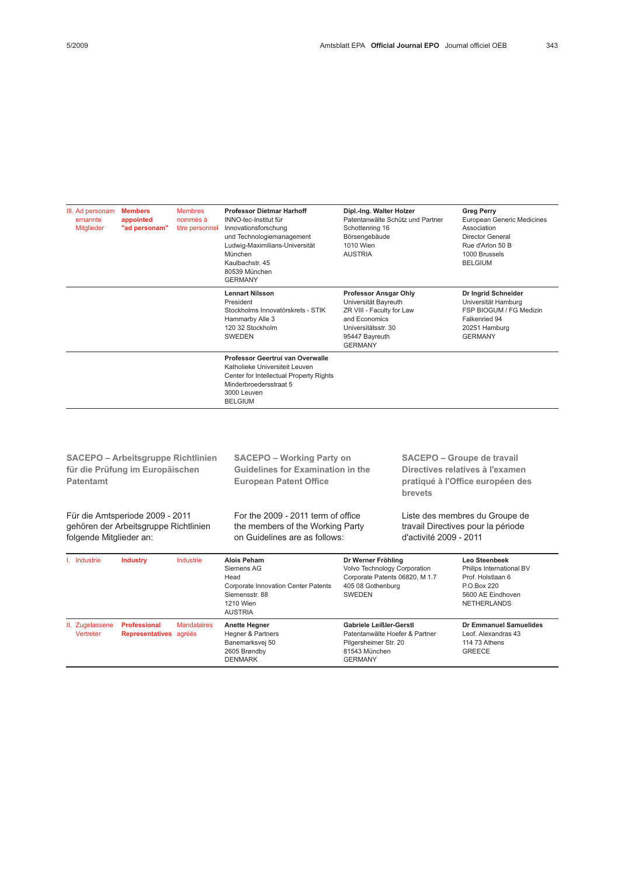| <b>Members</b><br>III. Ad personam<br><b>Membres</b><br>ernannte<br>appointed<br>nommés à<br>"ad personam"<br><b>Mitglieder</b><br>titre personnel |                 | <b>Professor Dietmar Harhoff</b><br>INNO-tec-Institut für<br>Innovationsforschung<br>und Technologiemanagement<br>Ludwig-Maximilians-Universität<br>München<br>Kaulbachstr, 45<br>80539 München<br><b>GERMANY</b>                                                                          | Dipl.-Ing. Walter Holzer<br>Patentanwälte Schütz und Partner<br>Schottenring 16<br>Börsengebäude<br>1010 Wien<br><b>AUSTRIA</b>                                          |                                                                                                                            | <b>Greg Perry</b><br><b>European Generic Medicines</b><br>Association<br><b>Director General</b><br>Rue d'Arlon 50 B<br>1000 Brussels<br><b>BELGIUM</b><br>Dr Ingrid Schneider<br>Universität Hamburg<br>FSP BIOGUM / FG Medizin<br>Falkenried 94<br>20251 Hamburg<br><b>GERMANY</b> |                                                                                                                   |  |
|----------------------------------------------------------------------------------------------------------------------------------------------------|-----------------|--------------------------------------------------------------------------------------------------------------------------------------------------------------------------------------------------------------------------------------------------------------------------------------------|--------------------------------------------------------------------------------------------------------------------------------------------------------------------------|----------------------------------------------------------------------------------------------------------------------------|--------------------------------------------------------------------------------------------------------------------------------------------------------------------------------------------------------------------------------------------------------------------------------------|-------------------------------------------------------------------------------------------------------------------|--|
|                                                                                                                                                    |                 | <b>Lennart Nilsson</b><br>Professor Ansgar Ohly<br>Universität Bayreuth<br>President<br>Stockholms Innovatörskrets - STIK<br>ZR VIII - Faculty for Law<br>and Economics<br>Hammarby Alle 3<br>120 32 Stockholm<br>Universitätsstr. 30<br><b>SWEDEN</b><br>95447 Bayreuth<br><b>GERMANY</b> |                                                                                                                                                                          |                                                                                                                            |                                                                                                                                                                                                                                                                                      |                                                                                                                   |  |
|                                                                                                                                                    |                 |                                                                                                                                                                                                                                                                                            | Professor Geertrui van Overwalle<br>Katholieke Universiteit Leuven<br>Center for Intellectual Property Rights<br>Minderbroedersstraat 5<br>3000 Leuven<br><b>BELGIUM</b> |                                                                                                                            |                                                                                                                                                                                                                                                                                      |                                                                                                                   |  |
|                                                                                                                                                    |                 |                                                                                                                                                                                                                                                                                            |                                                                                                                                                                          |                                                                                                                            |                                                                                                                                                                                                                                                                                      |                                                                                                                   |  |
| <b>SACEPO - Arbeitsgruppe Richtlinien</b><br>für die Prüfung im Europäischen<br><b>Patentamt</b>                                                   |                 |                                                                                                                                                                                                                                                                                            | <b>SACEPO - Working Party on</b><br>Guidelines for Examination in the<br><b>European Patent Office</b>                                                                   |                                                                                                                            | <b>SACEPO - Groupe de travail</b><br>Directives relatives à l'examen<br>pratiqué à l'Office européen des<br>brevets                                                                                                                                                                  |                                                                                                                   |  |
| Für die Amtsperiode 2009 - 2011<br>gehören der Arbeitsgruppe Richtlinien<br>folgende Mitglieder an:                                                |                 |                                                                                                                                                                                                                                                                                            | For the 2009 - 2011 term of office<br>the members of the Working Party<br>on Guidelines are as follows:                                                                  | d'activité 2009 - 2011                                                                                                     |                                                                                                                                                                                                                                                                                      | Liste des membres du Groupe de<br>travail Directives pour la période                                              |  |
| I. Industrie                                                                                                                                       | <b>Industry</b> | Industrie                                                                                                                                                                                                                                                                                  | <b>Alois Peham</b><br>Siemens AG<br>Head<br><b>Corporate Innovation Center Patents</b><br>Siemensstr, 88<br>4040111                                                      | Dr Werner Fröhling<br>Volvo Technology Corporation<br>Corporate Patents 06820, M 1.7<br>405 08 Gothenburg<br><b>SWEDEN</b> |                                                                                                                                                                                                                                                                                      | Leo Steenbeek<br>Philips International BV<br>Prof. Holstlaan 6<br>P.O.Box 220<br>5600 AE Eindhoven<br>NETUEDLANDO |  |

1210 Wien AUSTRIA NETHERLANDS II. Zugelassene Vertreter Professional Representatives agréés **Mandataires** Anette Hegner Hegner & Partners Banemarksvej 50 2605 Brøndby DENMARK Gabriele Leißler-Gerstl Patentanwälte Hoefer & Partner Pilgersheimer Str. 20 81543 München GERMANY Dr Emmanuel Samuelides Leof. Alexandras 43 114 73 Athens GREECE